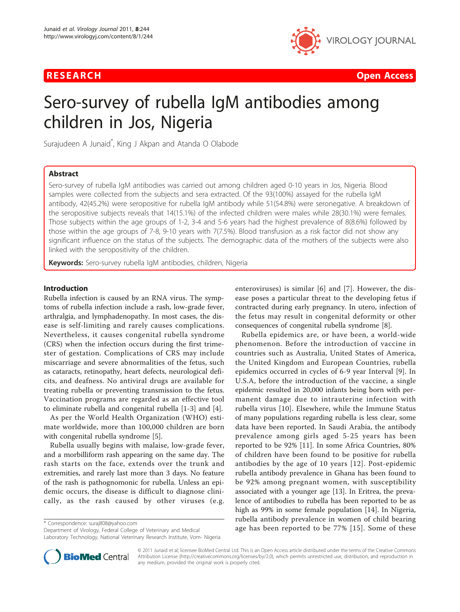

**RESEARCH Open Access Contract Contract Contract Contract Contract Contract Contract Contract Contract Contract Contract Contract Contract Contract Contract Contract Contract Contract Contract Contract Contract Contract** 

# Sero-survey of rubella IgM antibodies among children in Jos, Nigeria

Surajudeen A Junaid<sup>\*</sup>, King J Akpan and Atanda O Olabode

# Abstract

Sero-survey of rubella IgM antibodies was carried out among children aged 0-10 years in Jos, Nigeria. Blood samples were collected from the subjects and sera extracted. Of the 93(100%) assayed for the rubella IgM antibody, 42(45.2%) were seropositive for rubella IgM antibody while 51(54.8%) were seronegative. A breakdown of the seropositive subjects reveals that 14(15.1%) of the infected children were males while 28(30.1%) were females. Those subjects within the age groups of 1-2, 3-4 and 5-6 years had the highest prevalence of 8(8.6%) followed by those within the age groups of 7-8, 9-10 years with 7(7.5%). Blood transfusion as a risk factor did not show any significant influence on the status of the subjects. The demographic data of the mothers of the subjects were also linked with the seropositivity of the children.

Keywords: Sero-survey rubella IgM antibodies, children, Nigeria

#### Introduction

Rubella infection is caused by an RNA virus. The symptoms of rubella infection include a rash, low-grade fever, arthralgia, and lymphadenopathy. In most cases, the disease is self-limiting and rarely causes complications. Nevertheless, it causes congenital rubella syndrome (CRS) when the infection occurs during the first trimester of gestation. Complications of CRS may include miscarriage and severe abnormalities of the fetus, such as cataracts, retinopathy, heart defects, neurological deficits, and deafness. No antiviral drugs are available for treating rubella or preventing transmission to the fetus. Vaccination programs are regarded as an effective tool to eliminate rubella and congenital rubella [[1-3\]](#page-4-0) and [[4\]](#page-4-0).

As per the World Health Organization (WHO) estimate worldwide, more than 100,000 children are born with congenital rubella syndrome [\[5](#page-4-0)].

Rubella usually begins with malaise, low-grade fever, and a morbilliform rash appearing on the same day. The rash starts on the face, extends over the trunk and extremities, and rarely last more than 3 days. No feature of the rash is pathognomonic for rubella. Unless an epidemic occurs, the disease is difficult to diagnose clinically, as the rash caused by other viruses (e.g.

Department of Virology, Federal College of Veterinary and Medical Laboratory Technology, National Veterinary Research Institute, Vom- Nigeria enteroviruses) is similar [[6](#page-4-0)] and [\[7](#page-4-0)]. However, the disease poses a particular threat to the developing fetus if contracted during early pregnancy. In utero, infection of the fetus may result in congenital deformity or other consequences of congenital rubella syndrome [[8](#page-4-0)].

Rubella epidemics are, or have been, a world-wide phenomenon. Before the introduction of vaccine in countries such as Australia, United States of America, the United Kingdom and European Countries, rubella epidemics occurred in cycles of 6-9 year Interval [[9\]](#page-4-0). In U.S.A, before the introduction of the vaccine, a single epidemic resulted in 20,000 infants being born with permanent damage due to intrauterine infection with rubella virus [\[10\]](#page-4-0). Elsewhere, while the Immune Status of many populations regarding rubella is less clear, some data have been reported. In Saudi Arabia, the antibody prevalence among girls aged 5-25 years has been reported to be 92% [\[11](#page-4-0)]. In some Africa Countries, 80% of children have been found to be positive for rubella antibodies by the age of 10 years [[12\]](#page-4-0). Post-epidemic rubella antibody prevalence in Ghana has been found to be 92% among pregnant women, with susceptibility associated with a younger age [[13\]](#page-4-0). In Eritrea, the prevalence of antibodies to rubella has been reported to be as high as 99% in some female population [[14\]](#page-4-0). In Nigeria, rubella antibody prevalence in women of child bearing Exercisyondence: [suraj808@yahoo.com](mailto:suraj808@yahoo.com)<br>Department of Virology Federal College of Veterinary and Medical **age has been reported to be 77% [[15](#page-4-0)]. Some of these** 



© 2011 Junaid et al; licensee BioMed Central Ltd. This is an Open Access article distributed under the terms of the Creative Commons Attribution License [\(http://creativecommons.org/licenses/by/2.0](http://creativecommons.org/licenses/by/2.0)), which permits unrestricted use, distribution, and reproduction in any medium, provided the original work is properly cited.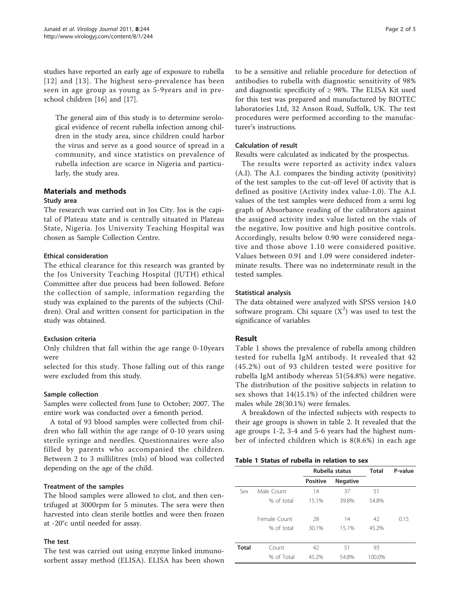studies have reported an early age of exposure to rubella [[12\]](#page-4-0) and [\[13](#page-4-0)]. The highest sero-prevalence has been seen in age group as young as 5-9years and in preschool children [[16\]](#page-4-0) and [\[17](#page-4-0)].

The general aim of this study is to determine serological evidence of recent rubella infection among children in the study area, since children could harbor the virus and serve as a good source of spread in a community, and since statistics on prevalence of rubella infection are scarce in Nigeria and particularly, the study area.

# Materials and methods

#### Study area

The research was carried out in Jos City. Jos is the capital of Plateau state and is centrally situated in Plateau State, Nigeria. Jos University Teaching Hospital was chosen as Sample Collection Centre.

# Ethical consideration

The ethical clearance for this research was granted by the Jos University Teaching Hospital (JUTH) ethical Committee after due process had been followed. Before the collection of sample, information regarding the study was explained to the parents of the subjects (Children). Oral and written consent for participation in the study was obtained.

# Exclusion criteria

Only children that fall within the age range 0-10years were

selected for this study. Those falling out of this range were excluded from this study.

# Sample collection

Samples were collected from June to October; 2007. The entire work was conducted over a 6month period.

A total of 93 blood samples were collected from children who fall within the age range of 0-10 years using sterile syringe and needles. Questionnaires were also filled by parents who accompanied the children. Between 2 to 3 millilitres (mls) of blood was collected depending on the age of the child.

# Treatment of the samples

The blood samples were allowed to clot, and then centrifuged at 3000rpm for 5 minutes. The sera were then harvested into clean sterile bottles and were then frozen at -20°c until needed for assay.

# The test

The test was carried out using enzyme linked immunosorbent assay method (ELISA). ELISA has been shown

to be a sensitive and reliable procedure for detection of antibodies to rubella with diagnostic sensitivity of 98% and diagnostic specificity of  $\geq$  98%. The ELISA Kit used for this test was prepared and manufactured by BIOTEC laboratories Ltd, 32 Anson Road, Suffolk, UK. The test procedures were performed according to the manufacturer's instructions.

#### Calculation of result

Results were calculated as indicated by the prospectus.

The results were reported as activity index values (A.I). The A.I. compares the binding activity (positivity) of the test samples to the cut-off level 0f activity that is defined as positive (Activity index value-1.0). The A.I. values of the test samples were deduced from a semi log graph of Absorbance reading of the calibrators against the assigned activity index value listed on the vials of the negative, low positive and high positive controls. Accordingly, results below 0.90 were considered negative and those above 1.10 were considered positive. Values between 0.91 and 1.09 were considered indeterminate results. There was no indeterminate result in the tested samples.

# Statistical analysis

The data obtained were analyzed with SPSS version 14.0 software program. Chi square  $(X^2)$  was used to test the significance of variables

# Result

Table 1 shows the prevalence of rubella among children tested for rubella IgM antibody. It revealed that 42 (45.2%) out of 93 children tested were positive for rubella IgM antibody whereas 51(54.8%) were negative. The distribution of the positive subjects in relation to sex shows that 14(15.1%) of the infected children were males while 28(30.1%) were females.

A breakdown of the infected subjects with respects to their age groups is shown in table [2](#page-2-0). It revealed that the age groups 1-2, 3-4 and 5-6 years had the highest number of infected children which is 8(8.6%) in each age

#### Table 1 Status of rubella in relation to sex

|              |              | Rubella status  |                 | <b>Total</b> | P-value |
|--------------|--------------|-----------------|-----------------|--------------|---------|
|              |              | <b>Positive</b> | <b>Negative</b> |              |         |
| Sex          | Male Count   | 14              | 37              | 51           |         |
|              | % of total   | 15.1%           | 39.8%           | 54.8%        |         |
|              | Female Count | 28              | 14              | 42           | 0.15    |
|              | % of total   | 30.1%           | 15.1%           | 45.2%        |         |
| <b>Total</b> | Count        | 42              | 51              | 93           |         |
|              | % of Total   | 45.2%           | 54.8%           | 100.0%       |         |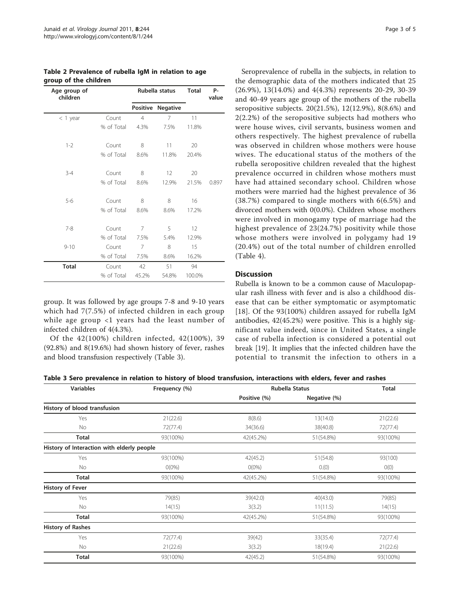<span id="page-2-0"></span>

| Table 2 Prevalence of rubella IgM in relation to age |  |  |  |
|------------------------------------------------------|--|--|--|
| group of the children                                |  |  |  |

| Age group of<br>children |            | Rubella status |                 | <b>Total</b> | P-<br>value |
|--------------------------|------------|----------------|-----------------|--------------|-------------|
|                          |            | Positive       | <b>Negative</b> |              |             |
| $<$ 1 year               | Count      | $\overline{4}$ | 7               | 11           |             |
|                          | % of Total | 4.3%           | 7.5%            | 11.8%        |             |
| $1 - 2$                  | Count      | 8              | 11              | 20           |             |
|                          | % of Total | 8.6%           | 11.8%           | 20.4%        |             |
| $3 - 4$                  | Count      | 8              | 12              | 20           |             |
|                          | % of Total | 8.6%           | 12.9%           | 21.5%        | 0.897       |
| $5-6$                    | Count      | 8              | 8               | 16           |             |
|                          | % of Total | 8.6%           | 8.6%            | 17.2%        |             |
| $7 - 8$                  | Count      | 7              | 5               | 12           |             |
|                          | % of Total | 7.5%           | 5.4%            | 12.9%        |             |
| $9 - 10$                 | Count      | 7              | 8               | 15           |             |
|                          | % of Total | 7.5%           | 8.6%            | 16.2%        |             |
| <b>Total</b>             | Count      | 42             | 51              | 94           |             |
|                          | % of Total | 45.2%          | 54.8%           | 100.0%       |             |

group. It was followed by age groups 7-8 and 9-10 years which had 7(7.5%) of infected children in each group while age group <1 years had the least number of infected children of 4(4.3%).

Of the 42(100%) children infected, 42(100%), 39 (92.8%) and 8(19.6%) had shown history of fever, rashes and blood transfusion respectively (Table 3).

Seroprevalence of rubella in the subjects, in relation to the demographic data of the mothers indicated that 25 (26.9%), 13(14.0%) and 4(4.3%) represents 20-29, 30-39 and 40-49 years age group of the mothers of the rubella seropositive subjects. 20(21.5%), 12(12.9%), 8(8.6%) and 2(2.2%) of the seropositive subjects had mothers who were house wives, civil servants, business women and others respectively. The highest prevalence of rubella was observed in children whose mothers were house wives. The educational status of the mothers of the rubella seropositive children revealed that the highest prevalence occurred in children whose mothers must have had attained secondary school. Children whose mothers were married had the highest prevalence of 36 (38.7%) compared to single mothers with 6(6.5%) and divorced mothers with 0(0.0%). Children whose mothers were involved in monogamy type of marriage had the highest prevalence of 23(24.7%) positivity while those whose mothers were involved in polygamy had 19 (20.4%) out of the total number of children enrolled (Table [4\)](#page-3-0).

# Discussion

Rubella is known to be a common cause of Maculopapular rash illness with fever and is also a childhood disease that can be either symptomatic or asymptomatic [[18](#page-4-0)]. Of the 93(100%) children assayed for rubella IgM antibodies, 42(45.2%) were positive. This is a highly significant value indeed, since in United States, a single case of rubella infection is considered a potential out break [[19\]](#page-4-0). It implies that the infected children have the potential to transmit the infection to others in a

| Table 3 Sero prevalence in relation to history of blood transfusion, interactions with elders, fever and rashes |  |  |  |
|-----------------------------------------------------------------------------------------------------------------|--|--|--|
|-----------------------------------------------------------------------------------------------------------------|--|--|--|

| <b>Variables</b>                           | Frequency (%) |              | <b>Rubella Status</b> |          |
|--------------------------------------------|---------------|--------------|-----------------------|----------|
|                                            |               | Positive (%) | Negative (%)          |          |
| History of blood transfusion               |               |              |                       |          |
| Yes                                        | 21(22.6)      | 8(8.6)       | 13(14.0)              | 21(22.6) |
| No                                         | 72(77.4)      | 34(36.6)     | 38(40.8)              | 72(77.4) |
| <b>Total</b>                               | 93(100%)      | 42(45.2%)    | 51(54.8%)             | 93(100%) |
| History of Interaction with elderly people |               |              |                       |          |
| Yes                                        | 93(100%)      | 42(45.2)     | 51(54.8)              | 93(100)  |
| No                                         | $O(0\%)$      | $O(0\%)$     | 0.(0)                 | O(0)     |
| <b>Total</b>                               | 93(100%)      | 42(45.2%)    | 51(54.8%)             | 93(100%) |
| <b>History of Fever</b>                    |               |              |                       |          |
| Yes                                        | 79(85)        | 39(42.0)     | 40(43.0)              | 79(85)   |
| No                                         | 14(15)        | 3(3.2)       | 11(11.5)              | 14(15)   |
| <b>Total</b>                               | 93(100%)      | 42(45.2%)    | 51(54.8%)             | 93(100%) |
| <b>History of Rashes</b>                   |               |              |                       |          |
| Yes                                        | 72(77.4)      | 39(42)       | 33(35.4)              | 72(77.4) |
| No                                         | 21(22.6)      | 3(3.2)       | 18(19.4)              | 21(22.6) |
| Total                                      | 93(100%)      | 42(45.2)     | 51(54.8%)             | 93(100%) |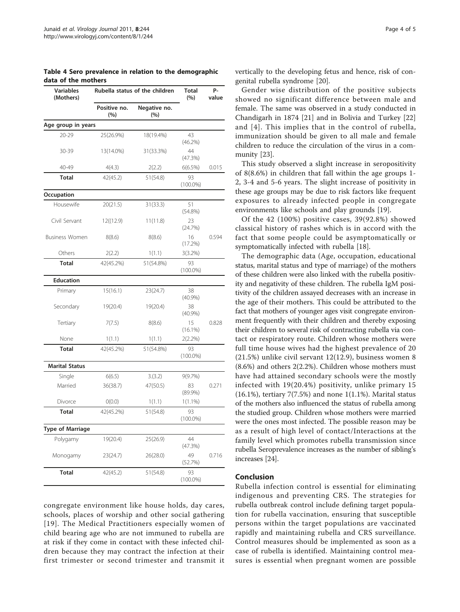<span id="page-3-0"></span>Table 4 Sero prevalence in relation to the demographic data of the mothers

| <b>Variables</b><br>(Mothers) | Rubella status of the children | <b>Total</b><br>(%) | P-<br>value       |       |  |
|-------------------------------|--------------------------------|---------------------|-------------------|-------|--|
|                               | Positive no.<br>(%)            | Negative no.<br>(%) |                   |       |  |
| Age group in years            |                                |                     |                   |       |  |
| $20 - 29$                     | 25(26.9%)                      | 18(19.4%)           | 43<br>(46.2%)     |       |  |
| 30-39                         | 13(14.0%)                      | 31(33.3%)           | 44<br>(47.3%)     |       |  |
| 40-49                         | 4(4.3)                         | 2(2.2)              | 6(6.5%)           | 0.015 |  |
| <b>Total</b>                  | 42(45.2)                       | 51(54.8)            | 93<br>$(100.0\%)$ |       |  |
| Occupation                    |                                |                     |                   |       |  |
| Housewife                     | 20(21.5)                       | 31(33.3)            | 51<br>$(54.8\%)$  |       |  |
| Civil Servant                 | 12((12.9)                      | 11(11.8)            | 23<br>(24.7%)     |       |  |
| <b>Business Women</b>         | 8(8.6)                         | 8(8.6)              | 16<br>(17.2%)     | 0.594 |  |
| Others                        | 2(2.2)                         | 1(1.1)              | 3(3.2%)           |       |  |
| <b>Total</b>                  | 42(45.2%)                      | 51(54.8%)           | 93<br>$(100.0\%)$ |       |  |
| <b>Education</b>              |                                |                     |                   |       |  |
| Primary                       | 15(16.1)                       | 23(24.7)            | 38<br>(40.9%)     |       |  |
| Secondary                     | 19(20.4)                       | 19(20.4)            | 38<br>$(40.9\%)$  |       |  |
| Tertiary                      | 7(7.5)                         | 8(8.6)              | 15<br>$(16.1\%)$  | 0.828 |  |
| None                          | 1(1.1)                         | 1(1.1)              | $2(2.2\%)$        |       |  |
| <b>Total</b>                  | 42(45.2%)                      | 51(54.8%)           | 93<br>$(100.0\%)$ |       |  |
| <b>Marital Status</b>         |                                |                     |                   |       |  |
| Single                        | 6(6.5)                         | 3.(3.2)             | 9(9.7%)           |       |  |
| Married                       | 36(38.7)                       | 47(50.5)            | 83<br>$(89.9\%)$  | 0.271 |  |
| Divorce                       | O(0.0)                         | 1(1.1)              | $1(1.1\%)$        |       |  |
| <b>Total</b>                  | 42(45.2%)                      | 51(54.8)            | 93<br>$(100.0\%)$ |       |  |
| Type of Marriage              |                                |                     |                   |       |  |
| Polygamy                      | 19(20.4)                       | 25(26.9)            | 44<br>(47.3%)     |       |  |
| Monogamy                      | 23(24.7)                       | 26(28.0)            | 49<br>(52.7%)     | 0.716 |  |
| <b>Total</b>                  | 42(45.2)                       | 51(54.8)            | 93<br>$(100.0\%)$ |       |  |

congregate environment like house holds, day cares, schools, places of worship and other social gathering [[19\]](#page-4-0). The Medical Practitioners especially women of child bearing age who are not immuned to rubella are at risk if they come in contact with these infected children because they may contract the infection at their first trimester or second trimester and transmit it vertically to the developing fetus and hence, risk of congenital rubella syndrome [\[20](#page-4-0)].

Gender wise distribution of the positive subjects showed no significant difference between male and female. The same was observed in a study conducted in Chandigarh in 1874 [[21\]](#page-4-0) and in Bolivia and Turkey [[22](#page-4-0)] and [[4\]](#page-4-0). This implies that in the control of rubella, immunization should be given to all male and female children to reduce the circulation of the virus in a community [\[23\]](#page-4-0).

This study observed a slight increase in seropositivity of 8(8.6%) in children that fall within the age groups 1- 2, 3-4 and 5-6 years. The slight increase of positivity in these age groups may be due to risk factors like frequent exposures to already infected people in congregate environments like schools and play grounds [[19\]](#page-4-0).

Of the 42 (100%) positive cases, 39(92.8%) showed classical history of rashes which is in accord with the fact that some people could be asymptomatically or symptomatically infected with rubella [[18\]](#page-4-0).

The demographic data (Age, occupation, educational status, marital status and type of marriage) of the mothers of these children were also linked with the rubella positivity and negativity of these children. The rubella IgM positivity of the children assayed decreases with an increase in the age of their mothers. This could be attributed to the fact that mothers of younger ages visit congregate environment frequently with their children and thereby exposing their children to several risk of contracting rubella via contact or respiratory route. Children whose mothers were full time house wives had the highest prevalence of 20 (21.5%) unlike civil servant 12(12.9), business women 8 (8.6%) and others 2(2.2%). Children whose mothers must have had attained secondary schools were the mostly infected with 19(20.4%) positivity, unlike primary 15 (16.1%), tertiary 7(7.5%) and none 1(1.1%). Marital status of the mothers also influenced the status of rubella among the studied group. Children whose mothers were married were the ones most infected. The possible reason may be as a result of high level of contact/Interactions at the family level which promotes rubella transmission since rubella Seroprevalence increases as the number of sibling's increases [\[24\]](#page-4-0).

# Conclusion

Rubella infection control is essential for eliminating indigenous and preventing CRS. The strategies for rubella outbreak control include defining target population for rubella vaccination, ensuring that susceptible persons within the target populations are vaccinated rapidly and maintaining rubella and CRS surveillance. Control measures should be implemented as soon as a case of rubella is identified. Maintaining control measures is essential when pregnant women are possible